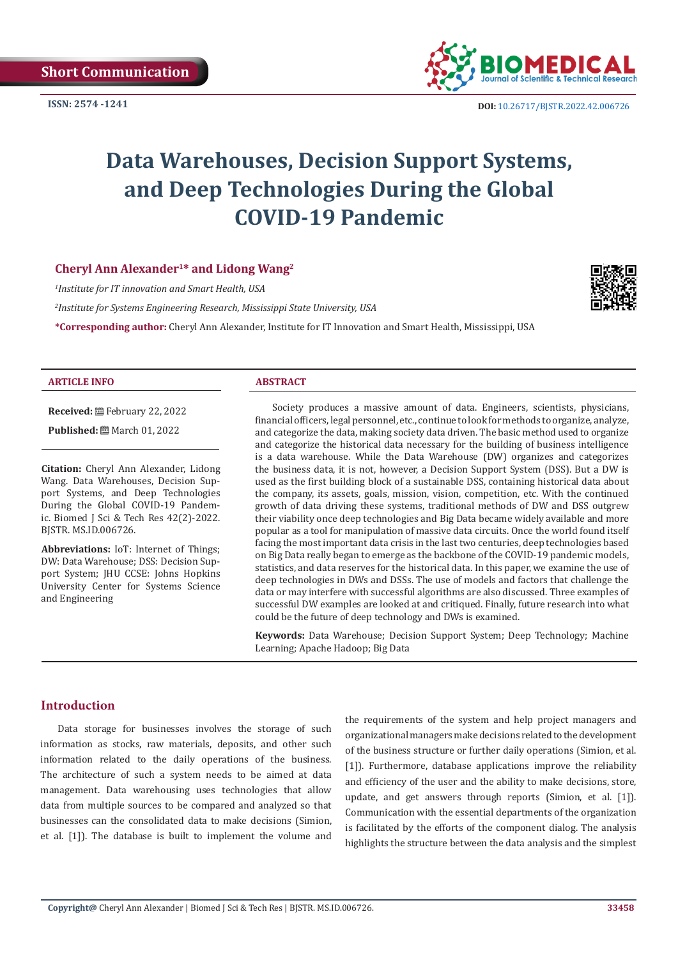

**ISSN: 2574 -1241 DOI:** [10.26717/BJSTR.2022.42.006726](https://dx.doi.org/10.26717/BJSTR.2022.42.006726)

# **Data Warehouses, Decision Support Systems, and Deep Technologies During the Global COVID-19 Pandemic**

### **Cheryl Ann Alexander1\* and Lidong Wang2**

*1 Institute for IT innovation and Smart Health, USA*

*2 Institute for Systems Engineering Research, Mississippi State University, USA*

**\*Corresponding author:** Cheryl Ann Alexander, Institute for IT Innovation and Smart Health, Mississippi, USA



**ARTICLE INFO ABSTRACT**

**Received:** February 22, 2022

**Published:** ■ March 01, 2022

**Citation:** Cheryl Ann Alexander, Lidong Wang. Data Warehouses, Decision Support Systems, and Deep Technologies During the Global COVID-19 Pandemic. Biomed J Sci & Tech Res 42(2)-2022. BJSTR. MS.ID.006726.

**Abbreviations:** IoT: Internet of Things; DW: Data Warehouse; DSS: Decision Support System; JHU CCSE: Johns Hopkins University Center for Systems Science and Engineering

Society produces a massive amount of data. Engineers, scientists, physicians, financial officers, legal personnel, etc., continue to look for methods to organize, analyze, and categorize the data, making society data driven. The basic method used to organize and categorize the historical data necessary for the building of business intelligence is a data warehouse. While the Data Warehouse (DW) organizes and categorizes the business data, it is not, however, a Decision Support System (DSS). But a DW is used as the first building block of a sustainable DSS, containing historical data about the company, its assets, goals, mission, vision, competition, etc. With the continued growth of data driving these systems, traditional methods of DW and DSS outgrew their viability once deep technologies and Big Data became widely available and more popular as a tool for manipulation of massive data circuits. Once the world found itself facing the most important data crisis in the last two centuries, deep technologies based on Big Data really began to emerge as the backbone of the COVID-19 pandemic models, statistics, and data reserves for the historical data. In this paper, we examine the use of deep technologies in DWs and DSSs. The use of models and factors that challenge the data or may interfere with successful algorithms are also discussed. Three examples of successful DW examples are looked at and critiqued. Finally, future research into what could be the future of deep technology and DWs is examined.

**Keywords:** Data Warehouse; Decision Support System; Deep Technology; Machine Learning; Apache Hadoop; Big Data

### **Introduction**

Data storage for businesses involves the storage of such information as stocks, raw materials, deposits, and other such information related to the daily operations of the business. The architecture of such a system needs to be aimed at data management. Data warehousing uses technologies that allow data from multiple sources to be compared and analyzed so that businesses can the consolidated data to make decisions (Simion, et al. [1]). The database is built to implement the volume and

the requirements of the system and help project managers and organizational managers make decisions related to the development of the business structure or further daily operations (Simion, et al. [1]). Furthermore, database applications improve the reliability and efficiency of the user and the ability to make decisions, store, update, and get answers through reports (Simion, et al. [1]). Communication with the essential departments of the organization is facilitated by the efforts of the component dialog. The analysis highlights the structure between the data analysis and the simplest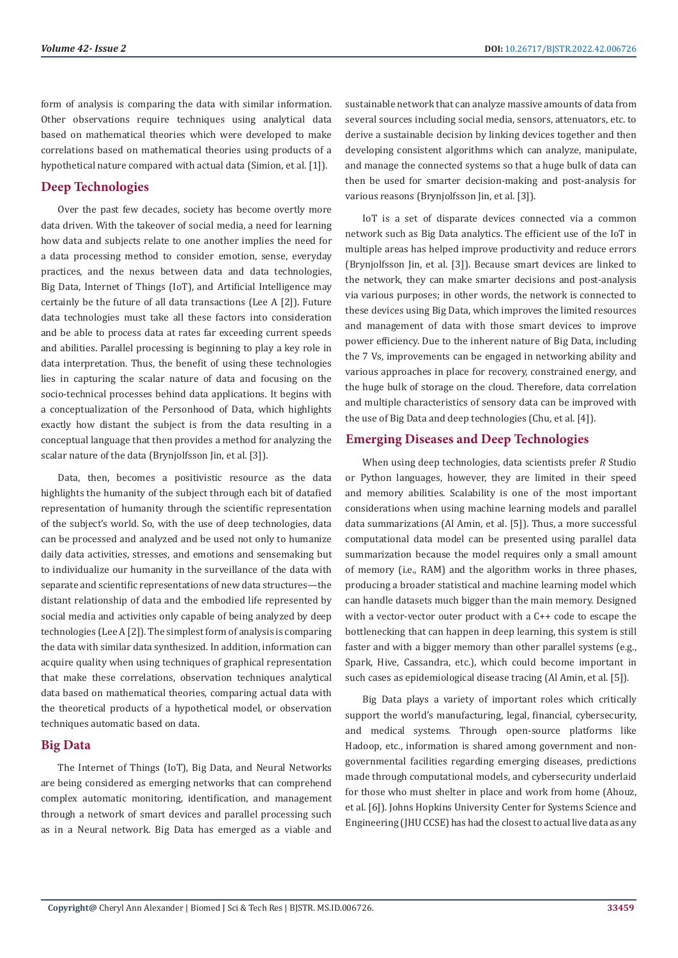form of analysis is comparing the data with similar information. Other observations require techniques using analytical data based on mathematical theories which were developed to make correlations based on mathematical theories using products of a hypothetical nature compared with actual data (Simion, et al. [1]).

## **Deep Technologies**

Over the past few decades, society has become overtly more data driven. With the takeover of social media, a need for learning how data and subjects relate to one another implies the need for a data processing method to consider emotion, sense, everyday practices, and the nexus between data and data technologies, Big Data, Internet of Things (IoT), and Artificial Intelligence may certainly be the future of all data transactions (Lee A [2]). Future data technologies must take all these factors into consideration and be able to process data at rates far exceeding current speeds and abilities. Parallel processing is beginning to play a key role in data interpretation. Thus, the benefit of using these technologies lies in capturing the scalar nature of data and focusing on the socio-technical processes behind data applications. It begins with a conceptualization of the Personhood of Data, which highlights exactly how distant the subject is from the data resulting in a conceptual language that then provides a method for analyzing the scalar nature of the data (Brynjolfsson Jin, et al. [3]).

Data, then, becomes a positivistic resource as the data highlights the humanity of the subject through each bit of datafied representation of humanity through the scientific representation of the subject's world. So, with the use of deep technologies, data can be processed and analyzed and be used not only to humanize daily data activities, stresses, and emotions and sensemaking but to individualize our humanity in the surveillance of the data with separate and scientific representations of new data structures—the distant relationship of data and the embodied life represented by social media and activities only capable of being analyzed by deep technologies (Lee A [2]). The simplest form of analysis is comparing the data with similar data synthesized. In addition, information can acquire quality when using techniques of graphical representation that make these correlations, observation techniques analytical data based on mathematical theories, comparing actual data with the theoretical products of a hypothetical model, or observation techniques automatic based on data.

### **Big Data**

The Internet of Things (IoT), Big Data, and Neural Networks are being considered as emerging networks that can comprehend complex automatic monitoring, identification, and management through a network of smart devices and parallel processing such as in a Neural network. Big Data has emerged as a viable and

sustainable network that can analyze massive amounts of data from several sources including social media, sensors, attenuators, etc. to derive a sustainable decision by linking devices together and then developing consistent algorithms which can analyze, manipulate, and manage the connected systems so that a huge bulk of data can then be used for smarter decision-making and post-analysis for various reasons (Brynjolfsson Jin, et al. [3]).

IoT is a set of disparate devices connected via a common network such as Big Data analytics. The efficient use of the IoT in multiple areas has helped improve productivity and reduce errors (Brynjolfsson Jin, et al. [3]). Because smart devices are linked to the network, they can make smarter decisions and post-analysis via various purposes; in other words, the network is connected to these devices using Big Data, which improves the limited resources and management of data with those smart devices to improve power efficiency. Due to the inherent nature of Big Data, including the 7 Vs, improvements can be engaged in networking ability and various approaches in place for recovery, constrained energy, and the huge bulk of storage on the cloud. Therefore, data correlation and multiple characteristics of sensory data can be improved with the use of Big Data and deep technologies (Chu, et al. [4]).

# **Emerging Diseases and Deep Technologies**

When using deep technologies, data scientists prefer *R* Studio or Python languages, however, they are limited in their speed and memory abilities. Scalability is one of the most important considerations when using machine learning models and parallel data summarizations (Al Amin, et al. [5]). Thus, a more successful computational data model can be presented using parallel data summarization because the model requires only a small amount of memory (i.e., RAM) and the algorithm works in three phases, producing a broader statistical and machine learning model which can handle datasets much bigger than the main memory. Designed with a vector-vector outer product with a C++ code to escape the bottlenecking that can happen in deep learning, this system is still faster and with a bigger memory than other parallel systems (e.g., Spark, Hive, Cassandra, etc.), which could become important in such cases as epidemiological disease tracing (Al Amin, et al. [5]).

Big Data plays a variety of important roles which critically support the world's manufacturing, legal, financial, cybersecurity, and medical systems. Through open-source platforms like Hadoop, etc., information is shared among government and nongovernmental facilities regarding emerging diseases, predictions made through computational models, and cybersecurity underlaid for those who must shelter in place and work from home (Ahouz, et al. [6]). Johns Hopkins University Center for Systems Science and Engineering (JHU CCSE) has had the closest to actual live data as any